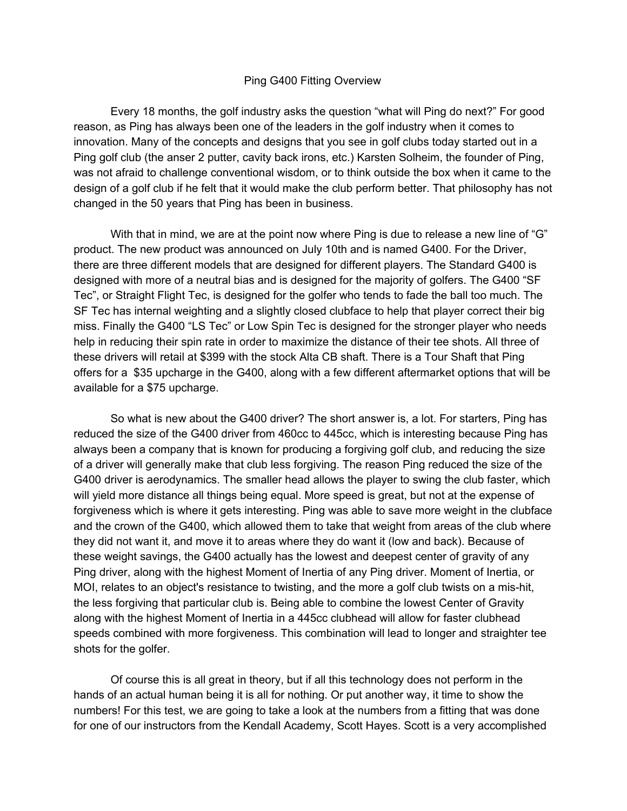## Ping G400 Fitting Overview

Every 18 months, the golf industry asks the question "what will Ping do next?" For good reason, as Ping has always been one of the leaders in the golf industry when it comes to innovation. Many of the concepts and designs that you see in golf clubs today started out in a Ping golf club (the anser 2 putter, cavity back irons, etc.) Karsten Solheim, the founder of Ping, was not afraid to challenge conventional wisdom, or to think outside the box when it came to the design of a golf club if he felt that it would make the club perform better. That philosophy has not changed in the 50 years that Ping has been in business.

With that in mind, we are at the point now where Ping is due to release a new line of "G" product. The new product was announced on July 10th and is named G400. For the Driver, there are three different models that are designed for different players. The Standard G400 is designed with more of a neutral bias and is designed for the majority of golfers. The G400 "SF Tec", or Straight Flight Tec, is designed for the golfer who tends to fade the ball too much. The SF Tec has internal weighting and a slightly closed clubface to help that player correct their big miss. Finally the G400 "LS Tec" or Low Spin Tec is designed for the stronger player who needs help in reducing their spin rate in order to maximize the distance of their tee shots. All three of these drivers will retail at \$399 with the stock Alta CB shaft. There is a Tour Shaft that Ping offers for a \$35 upcharge in the G400, along with a few different aftermarket options that will be available for a \$75 upcharge.

So what is new about the G400 driver? The short answer is, a lot. For starters, Ping has reduced the size of the G400 driver from 460cc to 445cc, which is interesting because Ping has always been a company that is known for producing a forgiving golf club, and reducing the size of a driver will generally make that club less forgiving. The reason Ping reduced the size of the G400 driver is aerodynamics. The smaller head allows the player to swing the club faster, which will yield more distance all things being equal. More speed is great, but not at the expense of forgiveness which is where it gets interesting. Ping was able to save more weight in the clubface and the crown of the G400, which allowed them to take that weight from areas of the club where they did not want it, and move it to areas where they do want it (low and back). Because of these weight savings, the G400 actually has the lowest and deepest center of gravity of any Ping driver, along with the highest Moment of Inertia of any Ping driver. Moment of Inertia, or MOI, relates to an object's resistance to twisting, and the more a golf club twists on a mis-hit, the less forgiving that particular club is. Being able to combine the lowest Center of Gravity along with the highest Moment of Inertia in a 445cc clubhead will allow for faster clubhead speeds combined with more forgiveness. This combination will lead to longer and straighter tee shots for the golfer.

Of course this is all great in theory, but if all this technology does not perform in the hands of an actual human being it is all for nothing. Or put another way, it time to show the numbers! For this test, we are going to take a look at the numbers from a fitting that was done for one of our instructors from the Kendall Academy, Scott Hayes. Scott is a very accomplished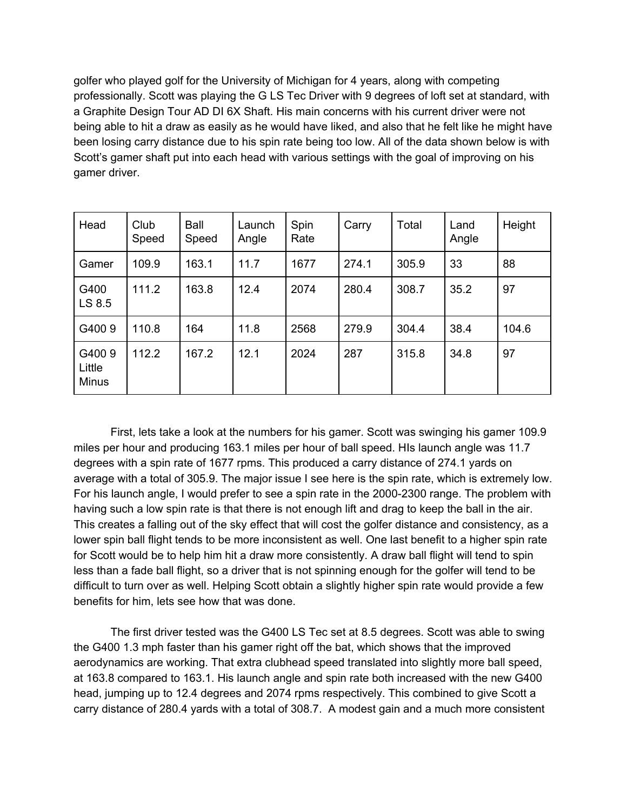golfer who played golf for the University of Michigan for 4 years, along with competing professionally. Scott was playing the G LS Tec Driver with 9 degrees of loft set at standard, with a Graphite Design Tour AD DI 6X Shaft. His main concerns with his current driver were not being able to hit a draw as easily as he would have liked, and also that he felt like he might have been losing carry distance due to his spin rate being too low. All of the data shown below is with Scott's gamer shaft put into each head with various settings with the goal of improving on his gamer driver.

| Head                            | Club<br>Speed | Ball<br>Speed | Launch<br>Angle | Spin<br>Rate | Carry | Total | Land<br>Angle | Height |
|---------------------------------|---------------|---------------|-----------------|--------------|-------|-------|---------------|--------|
| Gamer                           | 109.9         | 163.1         | 11.7            | 1677         | 274.1 | 305.9 | 33            | 88     |
| G400<br>LS 8.5                  | 111.2         | 163.8         | 12.4            | 2074         | 280.4 | 308.7 | 35.2          | 97     |
| G4009                           | 110.8         | 164           | 11.8            | 2568         | 279.9 | 304.4 | 38.4          | 104.6  |
| G4009<br>Little<br><b>Minus</b> | 112.2         | 167.2         | 12.1            | 2024         | 287   | 315.8 | 34.8          | 97     |

First, lets take a look at the numbers for his gamer. Scott was swinging his gamer 109.9 miles per hour and producing 163.1 miles per hour of ball speed. HIs launch angle was 11.7 degrees with a spin rate of 1677 rpms. This produced a carry distance of 274.1 yards on average with a total of 305.9. The major issue I see here is the spin rate, which is extremely low. For his launch angle, I would prefer to see a spin rate in the 2000-2300 range. The problem with having such a low spin rate is that there is not enough lift and drag to keep the ball in the air. This creates a falling out of the sky effect that will cost the golfer distance and consistency, as a lower spin ball flight tends to be more inconsistent as well. One last benefit to a higher spin rate for Scott would be to help him hit a draw more consistently. A draw ball flight will tend to spin less than a fade ball flight, so a driver that is not spinning enough for the golfer will tend to be difficult to turn over as well. Helping Scott obtain a slightly higher spin rate would provide a few benefits for him, lets see how that was done.

The first driver tested was the G400 LS Tec set at 8.5 degrees. Scott was able to swing the G400 1.3 mph faster than his gamer right off the bat, which shows that the improved aerodynamics are working. That extra clubhead speed translated into slightly more ball speed, at 163.8 compared to 163.1. His launch angle and spin rate both increased with the new G400 head, jumping up to 12.4 degrees and 2074 rpms respectively. This combined to give Scott a carry distance of 280.4 yards with a total of 308.7. A modest gain and a much more consistent